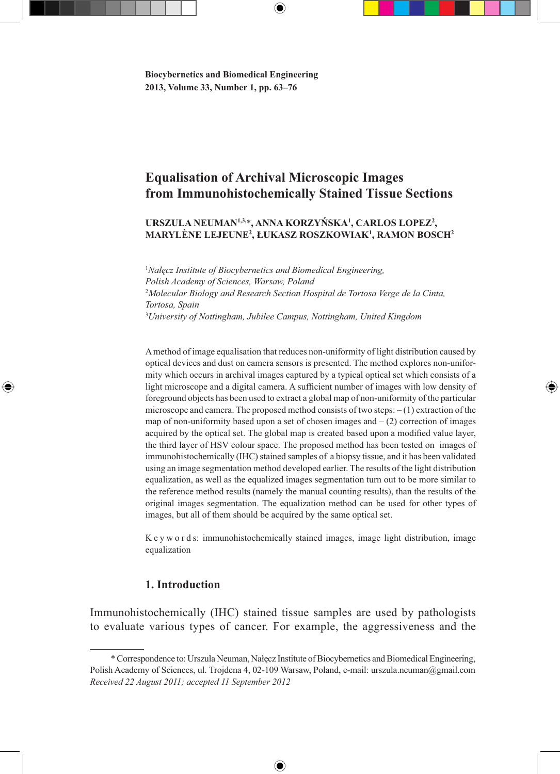**Biocybernetics and Biomedical Engineering 2013, Volume 33, Number 1, pp. 63–76**

# **Equalisation of Archival Microscopic Images from Immunohistochemically Stained Tissue Sections**

### **URSZULA NEUMAN1,3,**\***, ANNA KORZYŃSKA1 , CARLOS LOPEZ2 , MARYLÈNE LEJEUNE2 , ŁUKASZ ROSZKOWIAK1 , RAMON BOSCH2**

1 *Nałęcz Institute of Biocybernetics and Biomedical Engineering, Polish Academy of Sciences, Warsaw, Poland* 2 *Molecular Biology and Research Section Hospital de Tortosa Verge de la Cinta, Tortosa, Spain* 3 *University of Nottingham, Jubilee Campus, Nottingham, United Kingdom*

A method of image equalisation that reduces non-uniformity of light distribution caused by optical devices and dust on camera sensors is presented. The method explores non-uniformity which occurs in archival images captured by a typical optical set which consists of a light microscope and a digital camera. A sufficient number of images with low density of foreground objects has been used to extract a global map of non-uniformity of the particular microscope and camera. The proposed method consists of two steps: – (1) extraction of the map of non-uniformity based upon a set of chosen images and  $-$  (2) correction of images acquired by the optical set. The global map is created based upon a modified value layer, the third layer of HSV colour space. The proposed method has been tested on images of immunohistochemically (IHC) stained samples of a biopsy tissue, and it has been validated using an image segmentation method developed earlier. The results of the light distribution equalization, as well as the equalized images segmentation turn out to be more similar to the reference method results (namely the manual counting results), than the results of the original images segmentation. The equalization method can be used for other types of images, but all of them should be acquired by the same optical set.

↔

K e y w o r d s: immunohistochemically stained images, image light distribution, image equalization

### **1. Introduction**

⊕

Immunohistochemically (IHC) stained tissue samples are used by pathologists to evaluate various types of cancer. For example, the aggressiveness and the

 <sup>\*</sup> Correspondence to: Urszula Neuman, Nałęcz Institute of Biocybernetics and Biomedical Engineering, Polish Academy of Sciences, ul. Trojdena 4, 02-109 Warsaw, Poland, e-mail: urszula.neuman@gmail.com *Received 22 August 2011; accepted 11 September 2012*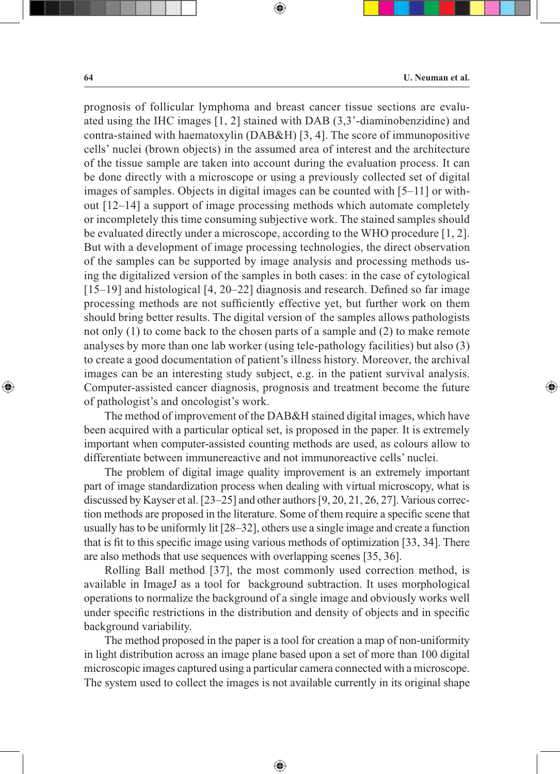**64 U. Neuman et al.**

⊕

prognosis of follicular lymphoma and breast cancer tissue sections are evaluated using the IHC images [1, 2] stained with DAB (3,3'-diaminobenzidine) and contra-stained with haematoxylin (DAB&H) [3, 4]. The score of immunopositive cells' nuclei (brown objects) in the assumed area of interest and the architecture of the tissue sample are taken into account during the evaluation process. It can be done directly with a microscope or using a previously collected set of digital images of samples. Objects in digital images can be counted with [5–11] or without [12–14] a support of image processing methods which automate completely or incompletely this time consuming subjective work. The stained samples should be evaluated directly under a microscope, according to the WHO procedure [1, 2]. But with a development of image processing technologies, the direct observation of the samples can be supported by image analysis and processing methods using the digitalized version of the samples in both cases: in the case of cytological [15–19] and histological [4, 20–22] diagnosis and research. Defined so far image processing methods are not sufficiently effective yet, but further work on them should bring better results. The digital version of the samples allows pathologists not only (1) to come back to the chosen parts of a sample and (2) to make remote analyses by more than one lab worker (using tele-pathology facilities) but also (3) to create a good documentation of patient's illness history. Moreover, the archival images can be an interesting study subject, e.g. in the patient survival analysis. Computer-assisted cancer diagnosis, prognosis and treatment become the future of pathologist's and oncologist's work.

 The method of improvement of the DAB&H stained digital images, which have been acquired with a particular optical set, is proposed in the paper. It is extremely important when computer-assisted counting methods are used, as colours allow to differentiate between immunereactive and not immunoreactive cells' nuclei.

 The problem of digital image quality improvement is an extremely important part of image standardization process when dealing with virtual microscopy, what is discussed by Kayser et al. [23–25] and other authors [9, 20, 21, 26, 27]. Various correction methods are proposed in the literature. Some of them require a specific scene that usually has to be uniformly lit [28–32], others use a single image and create a function that is fit to this specific image using various methods of optimization [33, 34]. There are also methods that use sequences with overlapping scenes [35, 36].

 Rolling Ball method [37], the most commonly used correction method, is available in ImageJ as a tool for background subtraction. It uses morphological operations to normalize the background of a single image and obviously works well under specific restrictions in the distribution and density of objects and in specific background variability.

 The method proposed in the paper is a tool for creation a map of non-uniformity in light distribution across an image plane based upon a set of more than 100 digital microscopic images captured using a particular camera connected with a microscope. The system used to collect the images is not available currently in its original shape

⊕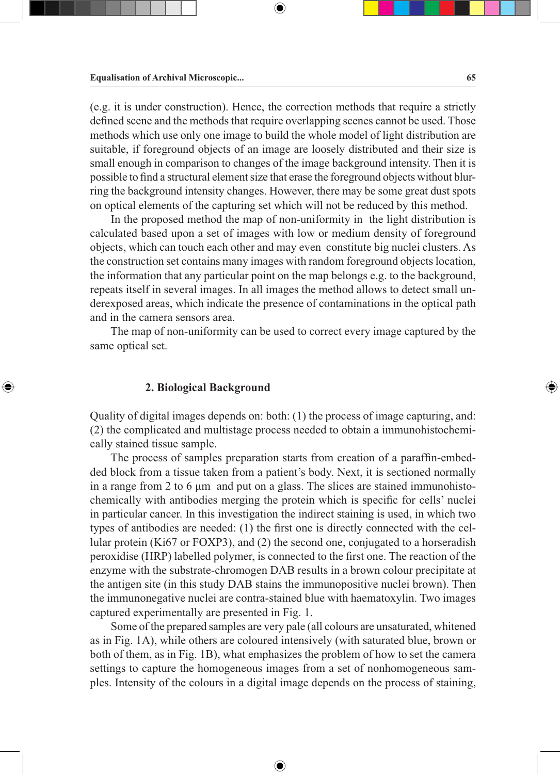(e.g. it is under construction). Hence, the correction methods that require a strictly defined scene and the methods that require overlapping scenes cannot be used. Those methods which use only one image to build the whole model of light distribution are suitable, if foreground objects of an image are loosely distributed and their size is small enough in comparison to changes of the image background intensity. Then it is possible to find a structural element size that erase the foreground objects without blurring the background intensity changes. However, there may be some great dust spots on optical elements of the capturing set which will not be reduced by this method.

 In the proposed method the map of non-uniformity in the light distribution is calculated based upon a set of images with low or medium density of foreground objects, which can touch each other and may even constitute big nuclei clusters. As the construction set contains many images with random foreground objects location, the information that any particular point on the map belongs e.g. to the background, repeats itself in several images. In all images the method allows to detect small underexposed areas, which indicate the presence of contaminations in the optical path and in the camera sensors area.

 The map of non-uniformity can be used to correct every image captured by the same optical set.

# **2. Biological Background**

⊕

Quality of digital images depends on: both: (1) the process of image capturing, and: (2) the complicated and multistage process needed to obtain a immunohistochemically stained tissue sample.

 The process of samples preparation starts from creation of a paraffin-embedded block from a tissue taken from a patient's body. Next, it is sectioned normally in a range from 2 to 6 μm and put on a glass. The slices are stained immunohistochemically with antibodies merging the protein which is specific for cells' nuclei in particular cancer. In this investigation the indirect staining is used, in which two types of antibodies are needed: (1) the first one is directly connected with the cellular protein (Ki67 or FOXP3), and (2) the second one, conjugated to a horseradish peroxidise (HRP) labelled polymer, is connected to the first one. The reaction of the enzyme with the substrate-chromogen DAB results in a brown colour precipitate at the antigen site (in this study DAB stains the immunopositive nuclei brown). Then the immunonegative nuclei are contra-stained blue with haematoxylin. Two images captured experimentally are presented in Fig. 1.

 Some of the prepared samples are very pale (all colours are unsaturated, whitened as in Fig. 1A), while others are coloured intensively (with saturated blue, brown or both of them, as in Fig. 1B), what emphasizes the problem of how to set the camera settings to capture the homogeneous images from a set of nonhomogeneous samples. Intensity of the colours in a digital image depends on the process of staining,

⊕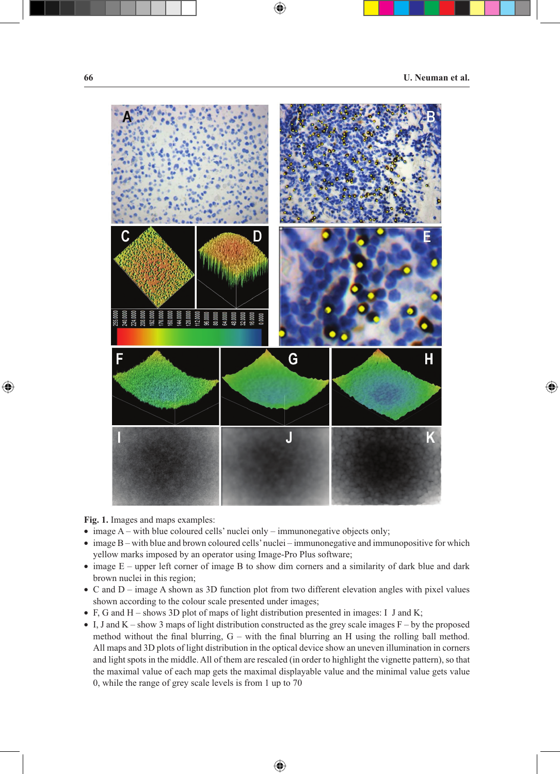⊕



**Fig. 1.** Images and maps examples:

- image A with blue coloured cells' nuclei only immunonegative objects only;
- image B with blue and brown coloured cells' nuclei immunonegative and immunopositive for which yellow marks imposed by an operator using Image-Pro Plus software;
- image E upper left corner of image B to show dim corners and a similarity of dark blue and dark brown nuclei in this region;
- C and D image A shown as 3D function plot from two different elevation angles with pixel values shown according to the colour scale presented under images;
- F, G and H shows 3D plot of maps of light distribution presented in images: I J and K;
- $\bullet$  I, J and K show 3 maps of light distribution constructed as the grey scale images F by the proposed method without the final blurring,  $G$  – with the final blurring an H using the rolling ball method. All maps and 3D plots of light distribution in the optical device show an uneven illumination in corners and light spots in the middle. All of them are rescaled (in order to highlight the vignette pattern), so that the maximal value of each map gets the maximal displayable value and the minimal value gets value 0, while the range of grey scale levels is from 1 up to 70

⊕

 $\bigoplus$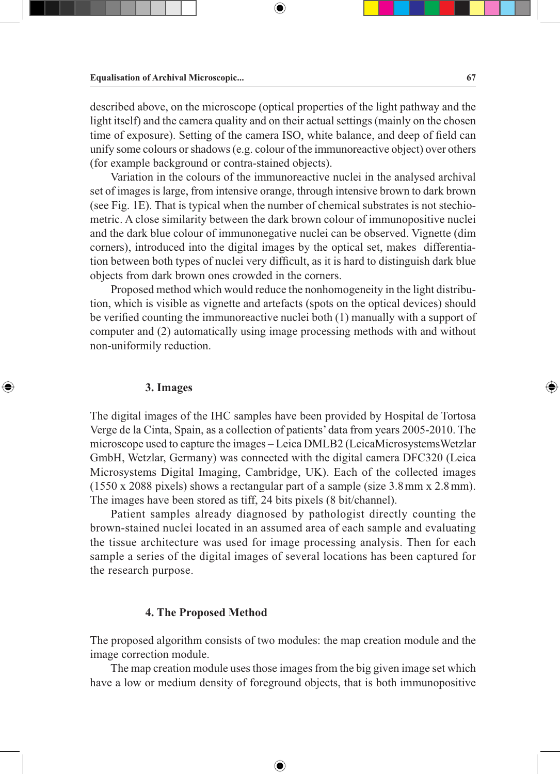described above, on the microscope (optical properties of the light pathway and the light itself) and the camera quality and on their actual settings (mainly on the chosen time of exposure). Setting of the camera ISO, white balance, and deep of field can unify some colours or shadows (e.g. colour of the immunoreactive object) over others (for example background or contra-stained objects).

 Variation in the colours of the immunoreactive nuclei in the analysed archival set of images is large, from intensive orange, through intensive brown to dark brown (see Fig. 1E). That is typical when the number of chemical substrates is not stechiometric. A close similarity between the dark brown colour of immunopositive nuclei and the dark blue colour of immunonegative nuclei can be observed. Vignette (dim corners), introduced into the digital images by the optical set, makes differentiation between both types of nuclei very difficult, as it is hard to distinguish dark blue objects from dark brown ones crowded in the corners.

 Proposed method which would reduce the nonhomogeneity in the light distribution, which is visible as vignette and artefacts (spots on the optical devices) should be verified counting the immunoreactive nuclei both (1) manually with a support of computer and (2) automatically using image processing methods with and without non-uniformily reduction.

# **3. Images**

⊕

The digital images of the IHC samples have been provided by Hospital de Tortosa Verge de la Cinta, Spain, as a collection of patients' data from years 2005-2010. The microscope used to capture the images – Leica DMLB2 (LeicaMicrosystemsWetzlar GmbH, Wetzlar, Germany) was connected with the digital camera DFC320 (Leica Microsystems Digital Imaging, Cambridge, UK). Each of the collected images (1550 x 2088 pixels) shows a rectangular part of a sample (size 3.8 mm x 2.8 mm). The images have been stored as tiff, 24 bits pixels (8 bit/channel).

 Patient samples already diagnosed by pathologist directly counting the brown-stained nuclei located in an assumed area of each sample and evaluating the tissue architecture was used for image processing analysis. Then for each sample a series of the digital images of several locations has been captured for the research purpose.

### **4. The Proposed Method**

The proposed algorithm consists of two modules: the map creation module and the image correction module.

 The map creation module uses those images from the big given image set which have a low or medium density of foreground objects, that is both immunopositive

⊕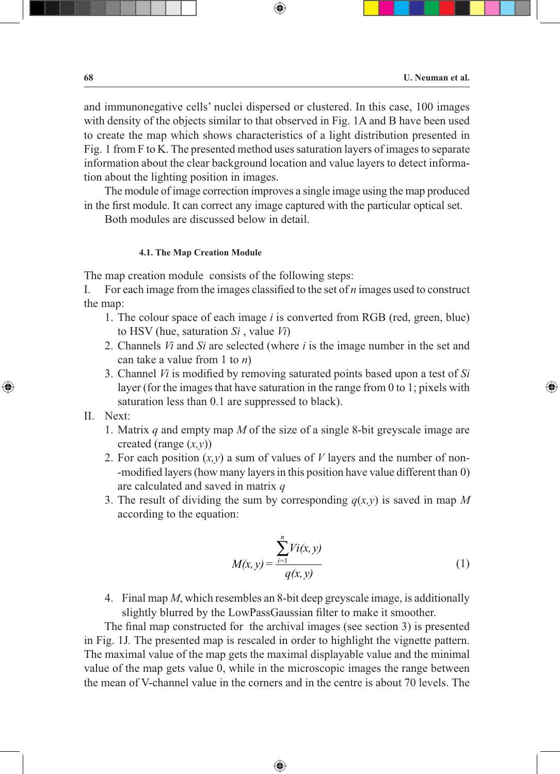and immunonegative cells' nuclei dispersed or clustered. In this case, 100 images with density of the objects similar to that observed in Fig. 1A and B have been used to create the map which shows characteristics of a light distribution presented in Fig. 1 from F to K. The presented method uses saturation layers of images to separate information about the clear background location and value layers to detect information about the lighting position in images.

 The module of image correction improves a single image using the map produced in the first module. It can correct any image captured with the particular optical set.

Both modules are discussed below in detail.

# **4.1. The Map Creation Module**

The map creation module consists of the following steps:

I. For each image from the images classified to the set of *n* images used to construct the map:

- 1. The colour space of each image *i* is converted from RGB (red, green, blue) to HSV (hue, saturation *Si* , value *Vi*)
- 2. Channels *Vi* and *Si* are selected (where *i* is the image number in the set and can take a value from 1 to *n*)
- 3. Channel *Vi* is modified by removing saturated points based upon a test of *Si* layer (for the images that have saturation in the range from 0 to 1; pixels with saturation less than 0.1 are suppressed to black).

II. Next:

⊕

- 1. Matrix *q* and empty map *M* of the size of a single 8-bit greyscale image are created (range (*x,y*))
- 2. For each position (*x,y*) a sum of values of *V* layers and the number of non- -modified layers (how many layers in this position have value different than 0) are calculated and saved in matrix *q*
- 3. The result of dividing the sum by corresponding  $q(x, y)$  is saved in map M according to the equation:

$$
M(x, y) = \frac{\sum_{i=1}^{n} Vi(x, y)}{q(x, y)}
$$
(1)

 4. Final map *M*, which resembles an 8-bit deep greyscale image, is additionally slightly blurred by the LowPassGaussian filter to make it smoother.

 The final map constructed for the archival images (see section 3) is presented in Fig. 1J*.* The presented map is rescaled in order to highlight the vignette pattern. The maximal value of the map gets the maximal displayable value and the minimal value of the map gets value 0, while in the microscopic images the range between the mean of V-channel value in the corners and in the centre is about 70 levels. The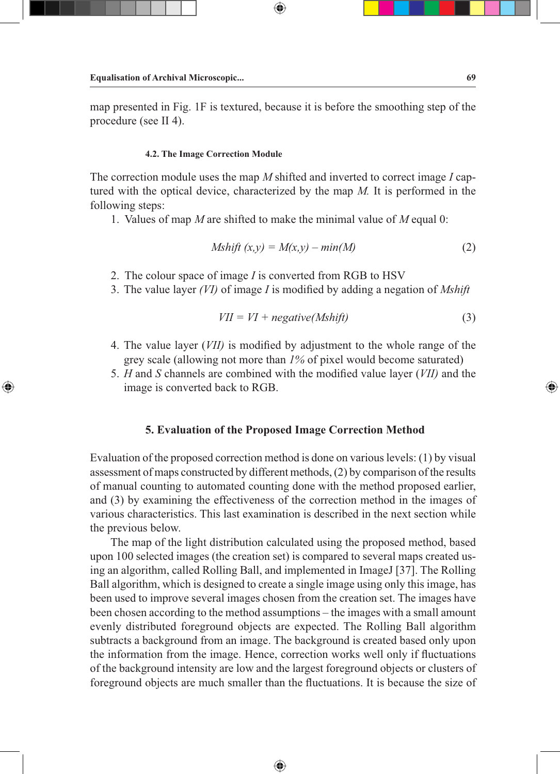⊕

map presented in Fig. 1F is textured, because it is before the smoothing step of the procedure (see II 4).

### **4.2. The Image Correction Module**

The correction module uses the map *M* shifted and inverted to correct image *I* captured with the optical device, characterized by the map *M.* It is performed in the following steps:

1. Values of map *M* are shifted to make the minimal value of *M* equal 0:

$$
Mshift(x,y) = M(x,y) - min(M)
$$
 (2)

- 2. The colour space of image *I* is converted from RGB to HSV
- 3. The value layer *(VI)* of image *I* is modified by adding a negation of *Mshift*

$$
VII = VI + negative(Mshift)
$$
\n(3)

- 4. The value layer (*VII)* is modified by adjustment to the whole range of the grey scale (allowing not more than *1%* of pixel would become saturated)
- 5. *H* and *S* channels are combined with the modified value layer (*VII)* and the image is converted back to RGB.

# **5. Evaluation of the Proposed Image Correction Method**

Evaluation of the proposed correction method is done on various levels: (1) by visual assessment of maps constructed by different methods, (2) by comparison of the results of manual counting to automated counting done with the method proposed earlier, and (3) by examining the effectiveness of the correction method in the images of various characteristics. This last examination is described in the next section while the previous below.

 The map of the light distribution calculated using the proposed method, based upon 100 selected images (the creation set) is compared to several maps created using an algorithm, called Rolling Ball, and implemented in ImageJ [37]. The Rolling Ball algorithm, which is designed to create a single image using only this image, has been used to improve several images chosen from the creation set. The images have been chosen according to the method assumptions – the images with a small amount evenly distributed foreground objects are expected. The Rolling Ball algorithm subtracts a background from an image. The background is created based only upon the information from the image. Hence, correction works well only if fluctuations of the background intensity are low and the largest foreground objects or clusters of foreground objects are much smaller than the fluctuations. It is because the size of

⊕

↔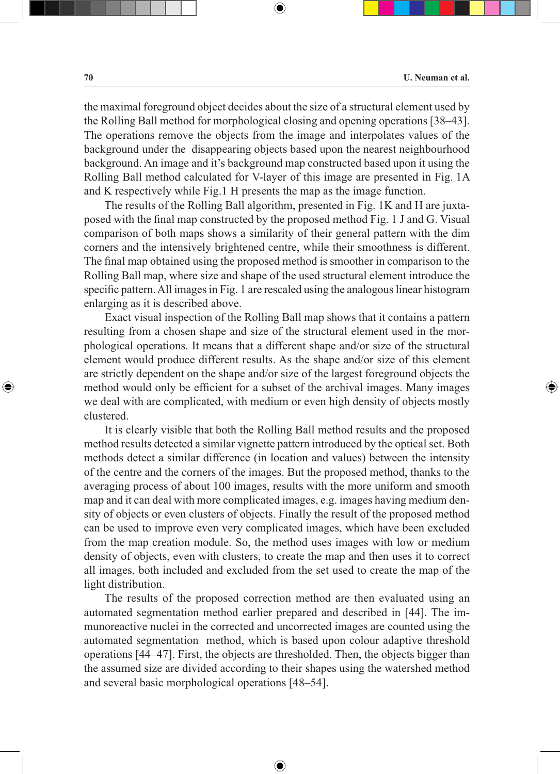the maximal foreground object decides about the size of a structural element used by the Rolling Ball method for morphological closing and opening operations [38–43]. The operations remove the objects from the image and interpolates values of the background under the disappearing objects based upon the nearest neighbourhood background. An image and it's background map constructed based upon it using the Rolling Ball method calculated for V-layer of this image are presented in Fig. 1A and K respectively while Fig.1 H presents the map as the image function.

 The results of the Rolling Ball algorithm, presented in Fig. 1K and H are juxtaposed with the final map constructed by the proposed method Fig. 1 J and G. Visual comparison of both maps shows a similarity of their general pattern with the dim corners and the intensively brightened centre, while their smoothness is different. The final map obtained using the proposed method is smoother in comparison to the Rolling Ball map, where size and shape of the used structural element introduce the specific pattern. All images in Fig. 1 are rescaled using the analogous linear histogram enlarging as it is described above.

 Exact visual inspection of the Rolling Ball map shows that it contains a pattern resulting from a chosen shape and size of the structural element used in the morphological operations. It means that a different shape and/or size of the structural element would produce different results. As the shape and/or size of this element are strictly dependent on the shape and/or size of the largest foreground objects the method would only be efficient for a subset of the archival images. Many images we deal with are complicated, with medium or even high density of objects mostly clustered.

 It is clearly visible that both the Rolling Ball method results and the proposed method results detected a similar vignette pattern introduced by the optical set. Both methods detect a similar difference (in location and values) between the intensity of the centre and the corners of the images. But the proposed method, thanks to the averaging process of about 100 images, results with the more uniform and smooth map and it can deal with more complicated images, e.g. images having medium density of objects or even clusters of objects. Finally the result of the proposed method can be used to improve even very complicated images, which have been excluded from the map creation module. So, the method uses images with low or medium density of objects, even with clusters, to create the map and then uses it to correct all images, both included and excluded from the set used to create the map of the light distribution.

 The results of the proposed correction method are then evaluated using an automated segmentation method earlier prepared and described in [44]. The immunoreactive nuclei in the corrected and uncorrected images are counted using the automated segmentation method, which is based upon colour adaptive threshold operations [44–47]. First, the objects are thresholded. Then, the objects bigger than the assumed size are divided according to their shapes using the watershed method and several basic morphological operations [48–54].

⊕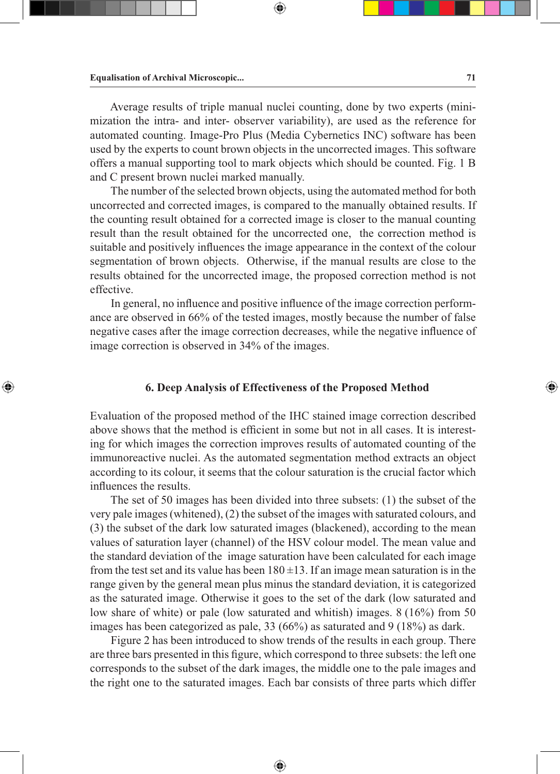⊕

 Average results of triple manual nuclei counting, done by two experts (minimization the intra- and inter- observer variability), are used as the reference for automated counting. Image-Pro Plus (Media Cybernetics INC) software has been used by the experts to count brown objects in the uncorrected images. This software offers a manual supporting tool to mark objects which should be counted. Fig. 1 B and C present brown nuclei marked manually.

 The number of the selected brown objects, using the automated method for both uncorrected and corrected images, is compared to the manually obtained results. If the counting result obtained for a corrected image is closer to the manual counting result than the result obtained for the uncorrected one, the correction method is suitable and positively influences the image appearance in the context of the colour segmentation of brown objects. Otherwise, if the manual results are close to the results obtained for the uncorrected image, the proposed correction method is not effective.

 In general, no influence and positive influence of the image correction performance are observed in 66% of the tested images, mostly because the number of false negative cases after the image correction decreases, while the negative influence of image correction is observed in 34% of the images.

# **6. Deep Analysis of Effectiveness of the Proposed Method**

Evaluation of the proposed method of the IHC stained image correction described above shows that the method is efficient in some but not in all cases. It is interesting for which images the correction improves results of automated counting of the immunoreactive nuclei. As the automated segmentation method extracts an object according to its colour, it seems that the colour saturation is the crucial factor which influences the results.

 The set of 50 images has been divided into three subsets: (1) the subset of the very pale images (whitened), (2) the subset of the images with saturated colours, and (3) the subset of the dark low saturated images (blackened), according to the mean values of saturation layer (channel) of the HSV colour model. The mean value and the standard deviation of the image saturation have been calculated for each image from the test set and its value has been  $180 \pm 13$ . If an image mean saturation is in the range given by the general mean plus minus the standard deviation, it is categorized as the saturated image. Otherwise it goes to the set of the dark (low saturated and low share of white) or pale (low saturated and whitish) images. 8 (16%) from 50 images has been categorized as pale, 33 (66%) as saturated and 9 (18%) as dark.

 Figure 2 has been introduced to show trends of the results in each group. There are three bars presented in this figure, which correspond to three subsets: the left one corresponds to the subset of the dark images, the middle one to the pale images and the right one to the saturated images. Each bar consists of three parts which differ

⊕

↔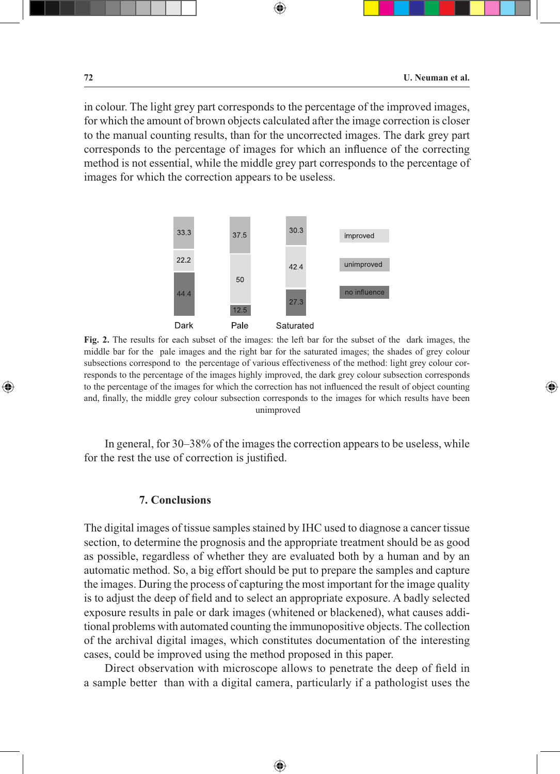in colour. The light grey part corresponds to the percentage of the improved images, for which the amount of brown objects calculated after the image correction is closer to the manual counting results, than for the uncorrected images. The dark grey part corresponds to the percentage of images for which an influence of the correcting method is not essential, while the middle grey part corresponds to the percentage of images for which the correction appears to be useless.

⊕



**Fig. 2.** The results for each subset of the images: the left bar for the subset of the dark images, the middle bar for the pale images and the right bar for the saturated images; the shades of grey colour subsections correspond to the percentage of various effectiveness of the method: light grey colour corresponds to the percentage of the images highly improved, the dark grey colour subsection corresponds to the percentage of the images for which the correction has not influenced the result of object counting and, finally, the middle grey colour subsection corresponds to the images for which results have been unimproved

 In general, for 30–38% of the images the correction appears to be useless, while for the rest the use of correction is justified.

# **7. Conclusions**

The digital images of tissue samples stained by IHC used to diagnose a cancer tissue section, to determine the prognosis and the appropriate treatment should be as good as possible, regardless of whether they are evaluated both by a human and by an automatic method. So, a big effort should be put to prepare the samples and capture the images. During the process of capturing the most important for the image quality is to adjust the deep of field and to select an appropriate exposure. A badly selected exposure results in pale or dark images (whitened or blackened), what causes additional problems with automated counting the immunopositive objects. The collection of the archival digital images, which constitutes documentation of the interesting cases, could be improved using the method proposed in this paper.

 Direct observation with microscope allows to penetrate the deep of field in a sample better than with a digital camera, particularly if a pathologist uses the

⊕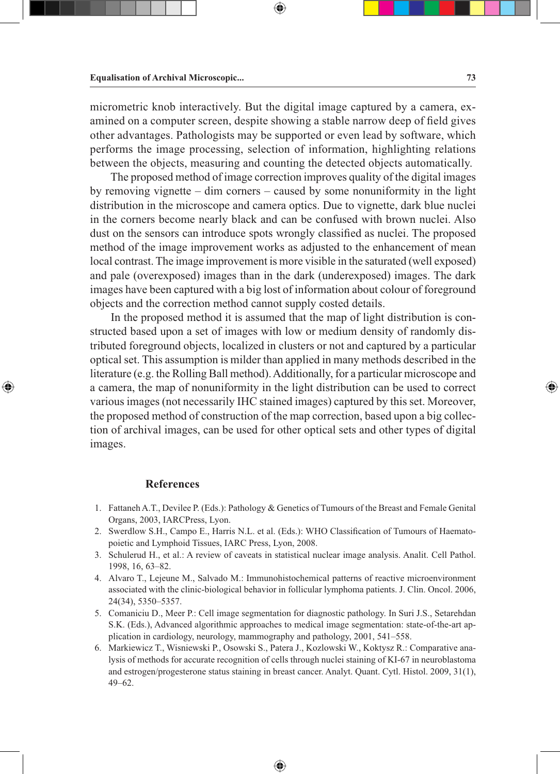micrometric knob interactively. But the digital image captured by a camera, examined on a computer screen, despite showing a stable narrow deep of field gives other advantages. Pathologists may be supported or even lead by software, which performs the image processing, selection of information, highlighting relations between the objects, measuring and counting the detected objects automatically.

 The proposed method of image correction improves quality of the digital images by removing vignette – dim corners – caused by some nonuniformity in the light distribution in the microscope and camera optics. Due to vignette, dark blue nuclei in the corners become nearly black and can be confused with brown nuclei. Also dust on the sensors can introduce spots wrongly classified as nuclei. The proposed method of the image improvement works as adjusted to the enhancement of mean local contrast. The image improvement is more visible in the saturated (well exposed) and pale (overexposed) images than in the dark (underexposed) images. The dark images have been captured with a big lost of information about colour of foreground objects and the correction method cannot supply costed details.

 In the proposed method it is assumed that the map of light distribution is constructed based upon a set of images with low or medium density of randomly distributed foreground objects, localized in clusters or not and captured by a particular optical set. This assumption is milder than applied in many methods described in the literature (e.g. the Rolling Ball method). Additionally, for a particular microscope and a camera, the map of nonuniformity in the light distribution can be used to correct various images (not necessarily IHC stained images) captured by this set. Moreover, the proposed method of construction of the map correction, based upon a big collection of archival images, can be used for other optical sets and other types of digital images.

# **References**

⊕

- 1. Fattaneh A.T., Devilee P. (Eds.): Pathology & Genetics of Tumours of the Breast and Female Genital Organs, 2003, IARCPress, Lyon.
- 2. Swerdlow S.H., Campo E., Harris N.L. et al. (Eds.): WHO Classification of Tumours of Haematopoietic and Lymphoid Tissues, IARC Press, Lyon, 2008.
- 3. Schulerud H., et al.: A review of caveats in statistical nuclear image analysis. Analit. Cell Pathol. 1998, 16, 63–82.
- 4. Alvaro T., Lejeune M., Salvado M.: Immunohistochemical patterns of reactive microenvironment associated with the clinic-biological behavior in follicular lymphoma patients. J. Clin. Oncol. 2006, 24(34), 5350–5357.
- 5. Comaniciu D., Meer P.: Cell image segmentation for diagnostic pathology. In Suri J.S., Setarehdan S.K. (Eds.), Advanced algorithmic approaches to medical image segmentation: state-of-the-art application in cardiology, neurology, mammography and pathology, 2001, 541–558.
- 6. Markiewicz T., Wisniewski P., Osowski S., Patera J., Kozlowski W., Koktysz R.: Comparative analysis of methods for accurate recognition of cells through nuclei staining of KI-67 in neuroblastoma and estrogen/progesterone status staining in breast cancer. Analyt. Quant. Cytl. Histol. 2009, 31(1), 49–62.

⊕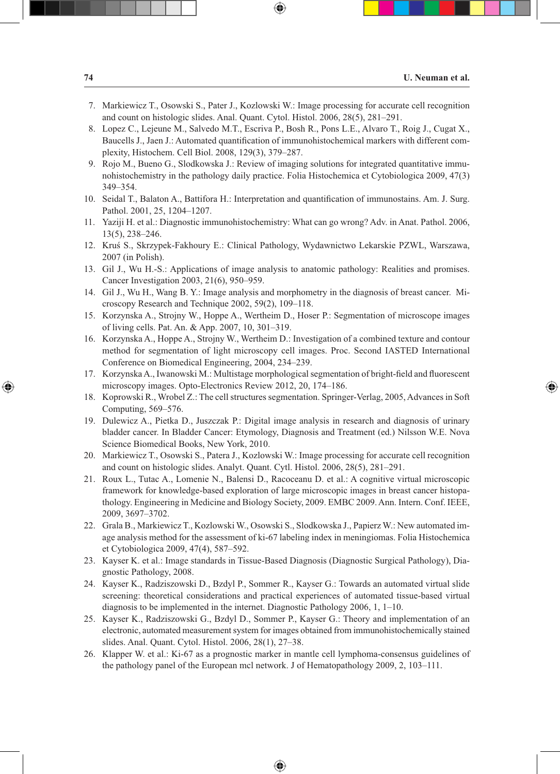- 7. Markiewicz T., Osowski S., Pater J., Kozlowski W.: Image processing for accurate cell recognition and count on histologic slides. Anal. Quant. Cytol. Histol. 2006, 28(5), 281–291.
- 8. Lopez C., Lejeune M., Salvedo M.T., Escriva P., Bosh R., Pons L.E., Alvaro T., Roig J., Cugat X., Baucells J., Jaen J.: Automated quantification of immunohistochemical markers with different complexity, Histochem. Cell Biol. 2008, 129(3), 379–287.
- 9. Rojo M., Bueno G., Slodkowska J.: Review of imaging solutions for integrated quantitative immunohistochemistry in the pathology daily practice. Folia Histochemica et Cytobiologica 2009, 47(3) 349–354.
- 10. Seidal T., Balaton A., Battifora H.: Interpretation and quantification of immunostains. Am. J. Surg. Pathol. 2001, 25, 1204–1207.
- 11. Yaziji H. et al.: Diagnostic immunohistochemistry: What can go wrong? Adv. in Anat. Pathol. 2006, 13(5), 238–246.
- 12. Kruś S., Skrzypek-Fakhoury E.: Clinical Pathology, Wydawnictwo Lekarskie PZWL, Warszawa, 2007 (in Polish).
- 13. Gil J., Wu H.-S.: Applications of image analysis to anatomic pathology: Realities and promises. Cancer Investigation 2003, 21(6), 950–959.
- 14. Gil J., Wu H., Wang B. Y.: Image analysis and morphometry in the diagnosis of breast cancer. Microscopy Research and Technique 2002, 59(2), 109–118.
- 15. Korzynska A., Strojny W., Hoppe A., Wertheim D., Hoser P.: Segmentation of microscope images of living cells. Pat. An. & App. 2007, 10, 301–319.
- 16. Korzynska A., Hoppe A., Strojny W., Wertheim D.: Investigation of a combined texture and contour method for segmentation of light microscopy cell images. Proc. Second IASTED International Conference on Biomedical Engineering, 2004, 234–239.
- 17. Korzynska A., Iwanowski M.: Multistage morphological segmentation of bright-field and fluorescent microscopy images. Opto-Electronics Review 2012, 20, 174–186.
- 18. Koprowski R., Wrobel Z.: The cell structures segmentation. Springer-Verlag, 2005, Advances in Soft Computing, 569–576.
- 19. Dulewicz A., Pietka D., Juszczak P.: Digital image analysis in research and diagnosis of urinary bladder cancer. In Bladder Cancer: Etymology, Diagnosis and Treatment (ed.) Nilsson W.E. Nova Science Biomedical Books, New York, 2010.
- 20. Markiewicz T., Osowski S., Patera J., Kozlowski W.: Image processing for accurate cell recognition and count on histologic slides. Analyt. Quant. Cytl. Histol. 2006, 28(5), 281–291.
- 21. Roux L., Tutac A., Lomenie N., Balensi D., Racoceanu D. et al.: A cognitive virtual microscopic framework for knowledge-based exploration of large microscopic images in breast cancer histopathology. Engineering in Medicine and Biology Society, 2009. EMBC 2009. Ann. Intern. Conf. IEEE, 2009, 3697–3702.
- 22. Grala B., Markiewicz T., Kozlowski W., Osowski S., Slodkowska J., Papierz W.: New automated image analysis method for the assessment of ki-67 labeling index in meningiomas. Folia Histochemica et Cytobiologica 2009, 47(4), 587–592.
- 23. Kayser K. et al.: Image standards in Tissue-Based Diagnosis (Diagnostic Surgical Pathology), Diagnostic Pathology, 2008.
- 24. Kayser K., Radziszowski D., Bzdyl P., Sommer R., Kayser G.: Towards an automated virtual slide screening: theoretical considerations and practical experiences of automated tissue-based virtual diagnosis to be implemented in the internet. Diagnostic Pathology 2006, 1, 1–10.
- 25. Kayser K., Radziszowski G., Bzdyl D., Sommer P., Kayser G.: Theory and implementation of an electronic, automated measurement system for images obtained from immunohistochemically stained slides. Anal. Quant. Cytol. Histol. 2006, 28(1), 27–38.
- 26. Klapper W. et al.: Ki-67 as a prognostic marker in mantle cell lymphoma-consensus guidelines of the pathology panel of the European mcl network. J of Hematopathology 2009, 2, 103–111.

⊕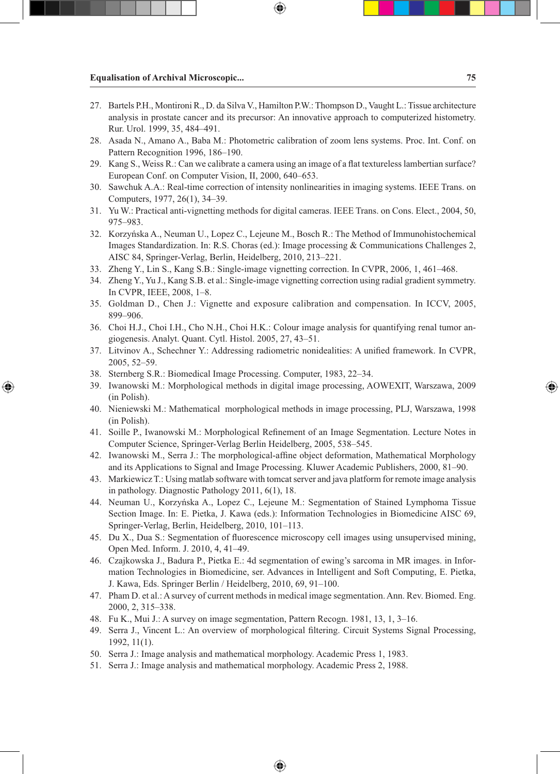↔

- 27. Bartels P.H., Montironi R., D. da Silva V., Hamilton P.W.: Thompson D., Vaught L.: Tissue architecture analysis in prostate cancer and its precursor: An innovative approach to computerized histometry. Rur. Urol. 1999, 35, 484–491.
- 28. Asada N., Amano A., Baba M.: Photometric calibration of zoom lens systems. Proc. Int. Conf. on Pattern Recognition 1996, 186–190.
- 29. Kang S., Weiss R.: Can we calibrate a camera using an image of a flat textureless lambertian surface? European Conf. on Computer Vision, II, 2000, 640–653.
- 30. Sawchuk A.A.: Real-time correction of intensity nonlinearities in imaging systems. IEEE Trans. on Computers, 1977, 26(1), 34–39.
- 31. Yu W.: Practical anti-vignetting methods for digital cameras. IEEE Trans. on Cons. Elect., 2004, 50, 975–983.
- 32. Korzyńska A., Neuman U., Lopez C., Lejeune M., Bosch R.: The Method of Immunohistochemical Images Standardization. In: R.S. Choras (ed.): Image processing & Communications Challenges 2, AISC 84, Springer-Verlag, Berlin, Heidelberg, 2010, 213–221.
- 33. Zheng Y., Lin S., Kang S.B.: Single-image vignetting correction. In CVPR, 2006, 1, 461–468.
- 34. Zheng Y., Yu J., Kang S.B. et al.: Single-image vignetting correction using radial gradient symmetry. In CVPR, IEEE, 2008, 1–8.
- 35. Goldman D., Chen J.: Vignette and exposure calibration and compensation. In ICCV, 2005, 899–906.
- 36. Choi H.J., Choi I.H., Cho N.H., Choi H.K.: Colour image analysis for quantifying renal tumor angiogenesis. Analyt. Quant. Cytl. Histol. 2005, 27, 43–51.
- 37. Litvinov A., Schechner Y.: Addressing radiometric nonidealities: A unified framework. In CVPR, 2005, 52–59.
- 38. Sternberg S.R.: Biomedical Image Processing. Computer, 1983, 22–34.
- 39. Iwanowski M.: Morphological methods in digital image processing, AOWEXIT, Warszawa, 2009 (in Polish).
- 40. Nieniewski M.: Mathematical morphological methods in image processing, PLJ, Warszawa, 1998 (in Polish).
- 41. Soille P., Iwanowski M.: Morphological Refinement of an Image Segmentation. Lecture Notes in Computer Science, Springer-Verlag Berlin Heidelberg, 2005, 538–545.
- 42. Iwanowski M., Serra J.: The morphological-affine object deformation, Mathematical Morphology and its Applications to Signal and Image Processing. Kluwer Academic Publishers, 2000, 81–90.
- 43. Markiewicz T.: Using matlab software with tomcat server and java platform for remote image analysis in pathology. Diagnostic Pathology 2011, 6(1), 18.
- 44. Neuman U., Korzyńska A., Lopez C., Lejeune M.: Segmentation of Stained Lymphoma Tissue Section Image. In: E. Pietka, J. Kawa (eds.): Information Technologies in Biomedicine AISC 69, Springer-Verlag, Berlin, Heidelberg, 2010, 101–113.
- 45. Du X., Dua S.: Segmentation of fluorescence microscopy cell images using unsupervised mining, Open Med. Inform. J. 2010, 4, 41–49.
- 46. Czajkowska J., Badura P., Pietka E.: 4d segmentation of ewing's sarcoma in MR images. in Information Technologies in Biomedicine, ser. Advances in Intelligent and Soft Computing, E. Pietka, J. Kawa, Eds. Springer Berlin / Heidelberg, 2010, 69, 91–100.
- 47. Pham D. et al.: A survey of current methods in medical image segmentation. Ann. Rev. Biomed. Eng. 2000, 2, 315–338.
- 48. Fu K., Mui J.: A survey on image segmentation, Pattern Recogn. 1981, 13, 1, 3–16.
- 49. Serra J., Vincent L.: An overview of morphological filtering. Circuit Systems Signal Processing, 1992, 11(1).

⊕

- 50. Serra J.: Image analysis and mathematical morphology. Academic Press 1, 1983.
- 51. Serra J.: Image analysis and mathematical morphology. Academic Press 2, 1988.

↔